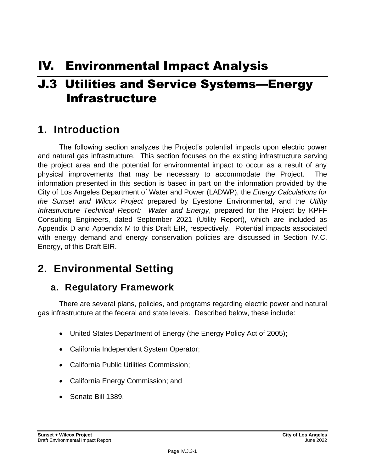# IV. Environmental Impact Analysis

# J.3 Utilities and Service Systems—Energy Infrastructure

# **1. Introduction**

The following section analyzes the Project's potential impacts upon electric power and natural gas infrastructure. This section focuses on the existing infrastructure serving the project area and the potential for environmental impact to occur as a result of any physical improvements that may be necessary to accommodate the Project. The information presented in this section is based in part on the information provided by the City of Los Angeles Department of Water and Power (LADWP), the *Energy Calculations for the Sunset and Wilcox Project* prepared by Eyestone Environmental, and the *Utility Infrastructure Technical Report: Water and Energy*, prepared for the Project by KPFF Consulting Engineers, dated September 2021 (Utility Report), which are included as Appendix D and Appendix M to this Draft EIR, respectively. Potential impacts associated with energy demand and energy conservation policies are discussed in Section IV.C, Energy, of this Draft EIR.

# **2. Environmental Setting**

# **a. Regulatory Framework**

There are several plans, policies, and programs regarding electric power and natural gas infrastructure at the federal and state levels. Described below, these include:

- United States Department of Energy (the Energy Policy Act of 2005);
- California Independent System Operator;
- California Public Utilities Commission;
- California Energy Commission; and
- Senate Bill 1389.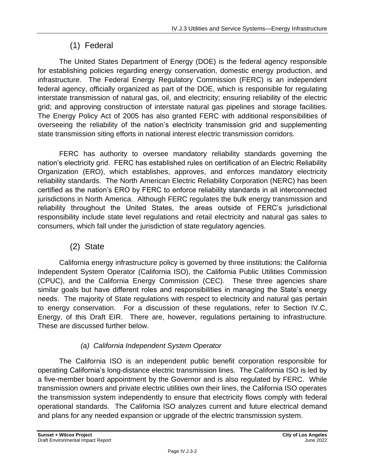### (1) Federal

The United States Department of Energy (DOE) is the federal agency responsible for establishing policies regarding energy conservation, domestic energy production, and infrastructure. The Federal Energy Regulatory Commission (FERC) is an independent federal agency, officially organized as part of the DOE, which is responsible for regulating interstate transmission of natural gas, oil, and electricity; ensuring reliability of the electric grid; and approving construction of interstate natural gas pipelines and storage facilities. The Energy Policy Act of 2005 has also granted FERC with additional responsibilities of overseeing the reliability of the nation's electricity transmission grid and supplementing state transmission siting efforts in national interest electric transmission corridors.

FERC has authority to oversee mandatory reliability standards governing the nation's electricity grid. FERC has established rules on certification of an Electric Reliability Organization (ERO), which establishes, approves, and enforces mandatory electricity reliability standards. The North American Electric Reliability Corporation (NERC) has been certified as the nation's ERO by FERC to enforce reliability standards in all interconnected jurisdictions in North America. Although FERC regulates the bulk energy transmission and reliability throughout the United States, the areas outside of FERC's jurisdictional responsibility include state level regulations and retail electricity and natural gas sales to consumers, which fall under the jurisdiction of state regulatory agencies.

### (2) State

California energy infrastructure policy is governed by three institutions: the California Independent System Operator (California ISO), the California Public Utilities Commission (CPUC), and the California Energy Commission (CEC). These three agencies share similar goals but have different roles and responsibilities in managing the State's energy needs. The majority of State regulations with respect to electricity and natural gas pertain to energy conservation. For a discussion of these regulations, refer to Section IV.C, Energy, of this Draft EIR. There are, however, regulations pertaining to infrastructure. These are discussed further below.

### *(a) California Independent System Operator*

The California ISO is an independent public benefit corporation responsible for operating California's long-distance electric transmission lines. The California ISO is led by a five-member board appointment by the Governor and is also regulated by FERC. While transmission owners and private electric utilities own their lines, the California ISO operates the transmission system independently to ensure that electricity flows comply with federal operational standards. The California ISO analyzes current and future electrical demand and plans for any needed expansion or upgrade of the electric transmission system.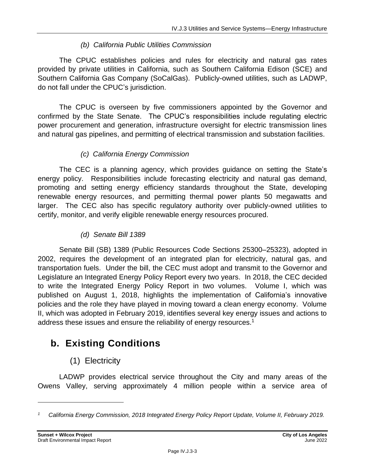#### *(b) California Public Utilities Commission*

The CPUC establishes policies and rules for electricity and natural gas rates provided by private utilities in California, such as Southern California Edison (SCE) and Southern California Gas Company (SoCalGas). Publicly-owned utilities, such as LADWP, do not fall under the CPUC's jurisdiction.

The CPUC is overseen by five commissioners appointed by the Governor and confirmed by the State Senate. The CPUC's responsibilities include regulating electric power procurement and generation, infrastructure oversight for electric transmission lines and natural gas pipelines, and permitting of electrical transmission and substation facilities.

### *(c) California Energy Commission*

The CEC is a planning agency, which provides guidance on setting the State's energy policy. Responsibilities include forecasting electricity and natural gas demand, promoting and setting energy efficiency standards throughout the State, developing renewable energy resources, and permitting thermal power plants 50 megawatts and larger. The CEC also has specific regulatory authority over publicly-owned utilities to certify, monitor, and verify eligible renewable energy resources procured.

#### *(d) Senate Bill 1389*

Senate Bill (SB) 1389 (Public Resources Code Sections 25300–25323), adopted in 2002, requires the development of an integrated plan for electricity, natural gas, and transportation fuels. Under the bill, the CEC must adopt and transmit to the Governor and Legislature an Integrated Energy Policy Report every two years. In 2018, the CEC decided to write the Integrated Energy Policy Report in two volumes. Volume I, which was published on August 1, 2018, highlights the implementation of California's innovative policies and the role they have played in moving toward a clean energy economy. Volume II, which was adopted in February 2019, identifies several key energy issues and actions to address these issues and ensure the reliability of energy resources.<sup>1</sup>

# **b. Existing Conditions**

## (1) Electricity

LADWP provides electrical service throughout the City and many areas of the Owens Valley, serving approximately 4 million people within a service area of

*<sup>1</sup> California Energy Commission, 2018 Integrated Energy Policy Report Update, Volume II, February 2019.*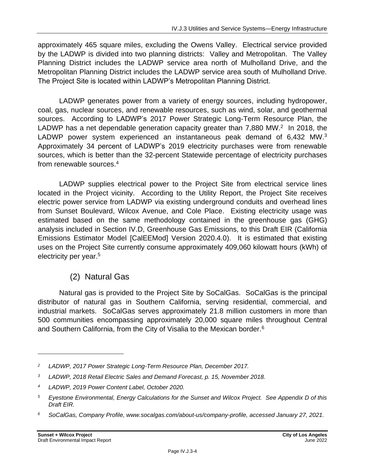approximately 465 square miles, excluding the Owens Valley. Electrical service provided by the LADWP is divided into two planning districts: Valley and Metropolitan. The Valley Planning District includes the LADWP service area north of Mulholland Drive, and the Metropolitan Planning District includes the LADWP service area south of Mulholland Drive. The Project Site is located within LADWP's Metropolitan Planning District.

LADWP generates power from a variety of energy sources, including hydropower, coal, gas, nuclear sources, and renewable resources, such as wind, solar, and geothermal sources. According to LADWP's 2017 Power Strategic Long-Term Resource Plan, the LADWP has a net dependable generation capacity greater than  $7,880$  MW.<sup>2</sup> In 2018, the LADWP power system experienced an instantaneous peak demand of 6,432 MW.<sup>3</sup> Approximately 34 percent of LADWP's 2019 electricity purchases were from renewable sources, which is better than the 32-percent Statewide percentage of electricity purchases from renewable sources. 4

LADWP supplies electrical power to the Project Site from electrical service lines located in the Project vicinity. According to the Utility Report, the Project Site receives electric power service from LADWP via existing underground conduits and overhead lines from Sunset Boulevard, Wilcox Avenue, and Cole Place. Existing electricity usage was estimated based on the same methodology contained in the greenhouse gas (GHG) analysis included in Section IV.D, Greenhouse Gas Emissions, to this Draft EIR (California Emissions Estimator Model [CalEEMod] Version 2020.4.0). It is estimated that existing uses on the Project Site currently consume approximately 409,060 kilowatt hours (kWh) of electricity per year.<sup>5</sup>

## (2) Natural Gas

Natural gas is provided to the Project Site by SoCalGas. SoCalGas is the principal distributor of natural gas in Southern California, serving residential, commercial, and industrial markets. SoCalGas serves approximately 21.8 million customers in more than 500 communities encompassing approximately 20,000 square miles throughout Central and Southern California, from the City of Visalia to the Mexican border.<sup>6</sup>

*<sup>2</sup> LADWP, 2017 Power Strategic Long-Term Resource Plan, December 2017.*

*<sup>3</sup> LADWP, 2018 Retail Electric Sales and Demand Forecast, p. 15, November 2018.*

*<sup>4</sup> LADWP, 2019 Power Content Label, October 2020.*

*<sup>5</sup> Eyestone Environmental, Energy Calculations for the Sunset and Wilcox Project. See Appendix D of this Draft EIR.*

*<sup>6</sup> SoCalGas, Company Profile, www.socalgas.com/about-us/company-profile, accessed January 27, 2021.*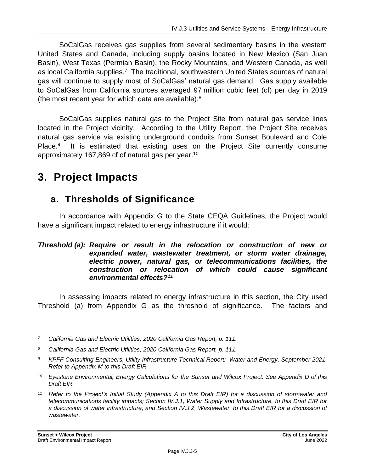SoCalGas receives gas supplies from several sedimentary basins in the western United States and Canada, including supply basins located in New Mexico (San Juan Basin), West Texas (Permian Basin), the Rocky Mountains, and Western Canada, as well as local California supplies.<sup>7</sup> The traditional, southwestern United States sources of natural gas will continue to supply most of SoCalGas' natural gas demand. Gas supply available to SoCalGas from California sources averaged 97 million cubic feet (cf) per day in 2019 (the most recent year for which data are available). $8$ 

SoCalGas supplies natural gas to the Project Site from natural gas service lines located in the Project vicinity. According to the Utility Report, the Project Site receives natural gas service via existing underground conduits from Sunset Boulevard and Cole Place.<sup>9</sup> It is estimated that existing uses on the Project Site currently consume approximately 167,869 cf of natural gas per year.<sup>10</sup>

# **3. Project Impacts**

# **a. Thresholds of Significance**

In accordance with Appendix G to the State CEQA Guidelines, the Project would have a significant impact related to energy infrastructure if it would:

#### *Threshold (a): Require or result in the relocation or construction of new or expanded water, wastewater treatment, or storm water drainage, electric power, natural gas, or telecommunications facilities, the construction or relocation of which could cause significant environmental effects?<sup>11</sup>*

In assessing impacts related to energy infrastructure in this section, the City used Threshold (a) from Appendix G as the threshold of significance. The factors and

*<sup>7</sup> California Gas and Electric Utilities, 2020 California Gas Report, p. 111.*

*<sup>8</sup> California Gas and Electric Utilities, 2020 California Gas Report, p. 111.*

*<sup>9</sup> KPFF Consulting Engineers, Utility Infrastructure Technical Report: Water and Energy, September 2021. Refer to Appendix M to this Draft EIR.*

*<sup>10</sup> Eyestone Environmental, Energy Calculations for the Sunset and Wilcox Project. See Appendix D of this Draft EIR.*

*<sup>11</sup> Refer to the Project's Initial Study (Appendix A to this Draft EIR) for a discussion of stormwater and telecommunications facility impacts; Section IV.J.1, Water Supply and Infrastructure, to this Draft EIR for a discussion of water infrastructure; and Section IV.J.2, Wastewater, to this Draft EIR for a discussion of wastewater.*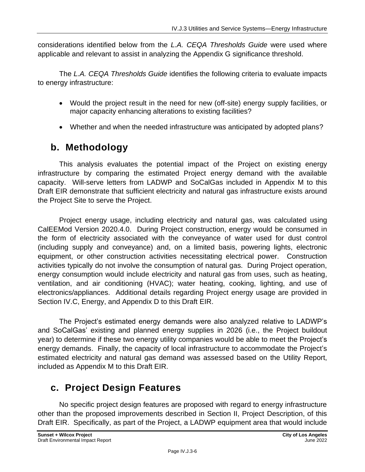considerations identified below from the *L.A. CEQA Thresholds Guide* were used where applicable and relevant to assist in analyzing the Appendix G significance threshold.

The *L.A. CEQA Thresholds Guide* identifies the following criteria to evaluate impacts to energy infrastructure:

- Would the project result in the need for new (off-site) energy supply facilities, or major capacity enhancing alterations to existing facilities?
- Whether and when the needed infrastructure was anticipated by adopted plans?

# **b. Methodology**

This analysis evaluates the potential impact of the Project on existing energy infrastructure by comparing the estimated Project energy demand with the available capacity. Will-serve letters from LADWP and SoCalGas included in Appendix M to this Draft EIR demonstrate that sufficient electricity and natural gas infrastructure exists around the Project Site to serve the Project.

Project energy usage, including electricity and natural gas, was calculated using CalEEMod Version 2020.4.0. During Project construction, energy would be consumed in the form of electricity associated with the conveyance of water used for dust control (including supply and conveyance) and, on a limited basis, powering lights, electronic equipment, or other construction activities necessitating electrical power. Construction activities typically do not involve the consumption of natural gas. During Project operation, energy consumption would include electricity and natural gas from uses, such as heating, ventilation, and air conditioning (HVAC); water heating, cooking, lighting, and use of electronics/appliances. Additional details regarding Project energy usage are provided in Section IV.C, Energy, and Appendix D to this Draft EIR.

The Project's estimated energy demands were also analyzed relative to LADWP's and SoCalGas' existing and planned energy supplies in 2026 (i.e., the Project buildout year) to determine if these two energy utility companies would be able to meet the Project's energy demands. Finally, the capacity of local infrastructure to accommodate the Project's estimated electricity and natural gas demand was assessed based on the Utility Report, included as Appendix M to this Draft EIR.

# **c. Project Design Features**

No specific project design features are proposed with regard to energy infrastructure other than the proposed improvements described in Section II, Project Description, of this Draft EIR. Specifically, as part of the Project, a LADWP equipment area that would include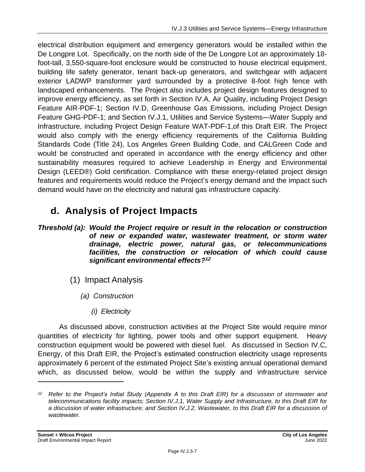electrical distribution equipment and emergency generators would be installed within the De Longpre Lot. Specifically, on the north side of the De Longpre Lot an approximately 18 foot-tall, 3,550-square-foot enclosure would be constructed to house electrical equipment, building life safety generator, tenant back-up generators, and switchgear with adjacent exterior LADWP transformer yard surrounded by a protective 8-foot high fence with landscaped enhancements. The Project also includes project design features designed to improve energy efficiency, as set forth in Section IV.A, Air Quality, including Project Design Feature AIR-PDF-1; Section IV.D, Greenhouse Gas Emissions, including Project Design Feature GHG-PDF-1; and Section IV.J.1, Utilities and Service Systems—Water Supply and Infrastructure, including Project Design Feature WAT-PDF-1,of this Draft EIR. The Project would also comply with the energy efficiency requirements of the California Building Standards Code (Title 24), Los Angeles Green Building Code, and CALGreen Code and would be constructed and operated in accordance with the energy efficiency and other sustainability measures required to achieve Leadership in Energy and Environmental Design (LEED®) Gold certification. Compliance with these energy-related project design features and requirements would reduce the Project's energy demand and the impact such demand would have on the electricity and natural gas infrastructure capacity.

# **d. Analysis of Project Impacts**

*Threshold (a): Would the Project require or result in the relocation or construction of new or expanded water, wastewater treatment, or storm water drainage, electric power, natural gas, or telecommunications facilities, the construction or relocation of which could cause significant environmental effects?<sup>12</sup>*

- (1) Impact Analysis
	- *(a) Construction*
		- *(i) Electricity*

As discussed above, construction activities at the Project Site would require minor quantities of electricity for lighting, power tools and other support equipment. Heavy construction equipment would be powered with diesel fuel. As discussed in Section IV.C, Energy, of this Draft EIR, the Project's estimated construction electricity usage represents approximately 6 percent of the estimated Project Site's existing annual operational demand which, as discussed below, would be within the supply and infrastructure service

*<sup>12</sup> Refer to the Project's Initial Study (Appendix A to this Draft EIR) for a discussion of stormwater and telecommunications facility impacts; Section IV.J.1, Water Supply and Infrastructure, to this Draft EIR for a discussion of water infrastructure; and Section IV.J.2, Wastewater, to this Draft EIR for a discussion of wastewater.*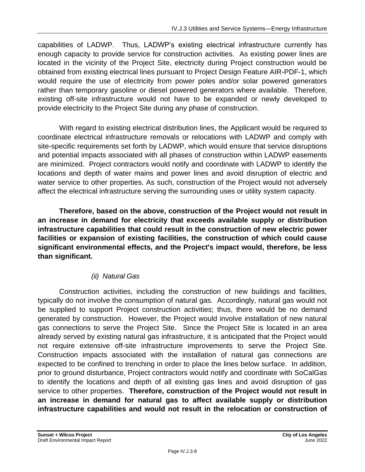capabilities of LADWP. Thus, LADWP's existing electrical infrastructure currently has enough capacity to provide service for construction activities. As existing power lines are located in the vicinity of the Project Site, electricity during Project construction would be obtained from existing electrical lines pursuant to Project Design Feature AIR-PDF-1, which would require the use of electricity from power poles and/or solar powered generators rather than temporary gasoline or diesel powered generators where available. Therefore, existing off-site infrastructure would not have to be expanded or newly developed to provide electricity to the Project Site during any phase of construction.

With regard to existing electrical distribution lines, the Applicant would be required to coordinate electrical infrastructure removals or relocations with LADWP and comply with site-specific requirements set forth by LADWP, which would ensure that service disruptions and potential impacts associated with all phases of construction within LADWP easements are minimized. Project contractors would notify and coordinate with LADWP to identify the locations and depth of water mains and power lines and avoid disruption of electric and water service to other properties. As such, construction of the Project would not adversely affect the electrical infrastructure serving the surrounding uses or utility system capacity.

**Therefore, based on the above, construction of the Project would not result in an increase in demand for electricity that exceeds available supply or distribution infrastructure capabilities that could result in the construction of new electric power facilities or expansion of existing facilities, the construction of which could cause significant environmental effects, and the Project's impact would, therefore, be less than significant.**

#### *(ii) Natural Gas*

Construction activities, including the construction of new buildings and facilities, typically do not involve the consumption of natural gas. Accordingly, natural gas would not be supplied to support Project construction activities; thus, there would be no demand generated by construction. However, the Project would involve installation of new natural gas connections to serve the Project Site. Since the Project Site is located in an area already served by existing natural gas infrastructure, it is anticipated that the Project would not require extensive off-site infrastructure improvements to serve the Project Site. Construction impacts associated with the installation of natural gas connections are expected to be confined to trenching in order to place the lines below surface. In addition, prior to ground disturbance, Project contractors would notify and coordinate with SoCalGas to identify the locations and depth of all existing gas lines and avoid disruption of gas service to other properties. **Therefore, construction of the Project would not result in an increase in demand for natural gas to affect available supply or distribution infrastructure capabilities and would not result in the relocation or construction of**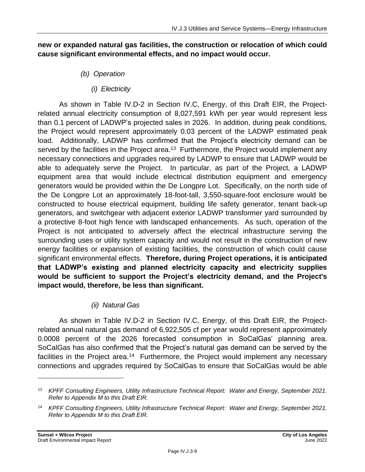#### **new or expanded natural gas facilities, the construction or relocation of which could cause significant environmental effects, and no impact would occur.**

### *(b) Operation*

*(i) Electricity*

As shown in Table IV.D-2 in Section IV.C, Energy, of this Draft EIR, the Projectrelated annual electricity consumption of 8,027,591 kWh per year would represent less than 0.1 percent of LADWP's projected sales in 2026. In addition, during peak conditions, the Project would represent approximately 0.03 percent of the LADWP estimated peak load. Additionally, LADWP has confirmed that the Project's electricity demand can be served by the facilities in the Project area.<sup>13</sup> Furthermore, the Project would implement any necessary connections and upgrades required by LADWP to ensure that LADWP would be able to adequately serve the Project. In particular, as part of the Project, a LADWP equipment area that would include electrical distribution equipment and emergency generators would be provided within the De Longpre Lot. Specifically, on the north side of the De Longpre Lot an approximately 18-foot-tall, 3,550-square-foot enclosure would be constructed to house electrical equipment, building life safety generator, tenant back-up generators, and switchgear with adjacent exterior LADWP transformer yard surrounded by a protective 8-foot high fence with landscaped enhancements. As such, operation of the Project is not anticipated to adversely affect the electrical infrastructure serving the surrounding uses or utility system capacity and would not result in the construction of new energy facilities or expansion of existing facilities, the construction of which could cause significant environmental effects. **Therefore, during Project operations, it is anticipated that LADWP's existing and planned electricity capacity and electricity supplies would be sufficient to support the Project's electricity demand, and the Project's impact would, therefore, be less than significant.**

#### *(ii) Natural Gas*

As shown in Table IV.D-2 in Section IV.C, Energy, of this Draft EIR, the Projectrelated annual natural gas demand of 6,922,505 cf per year would represent approximately 0.0008 percent of the 2026 forecasted consumption in SoCalGas' planning area. SoCalGas has also confirmed that the Project's natural gas demand can be served by the facilities in the Project area.<sup>14</sup> Furthermore, the Project would implement any necessary connections and upgrades required by SoCalGas to ensure that SoCalGas would be able

*<sup>13</sup> KPFF Consulting Engineers, Utility Infrastructure Technical Report: Water and Energy, September 2021. Refer to Appendix M to this Draft EIR.*

*<sup>14</sup> KPFF Consulting Engineers, Utility Infrastructure Technical Report: Water and Energy, September 2021. Refer to Appendix M to this Draft EIR.*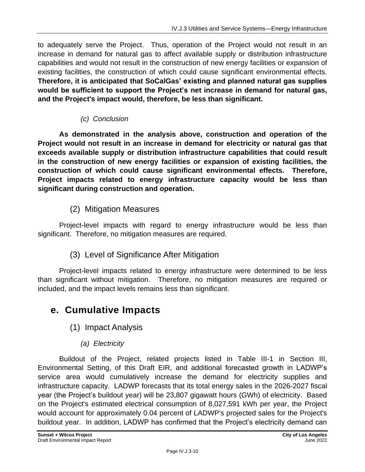to adequately serve the Project. Thus, operation of the Project would not result in an increase in demand for natural gas to affect available supply or distribution infrastructure capabilities and would not result in the construction of new energy facilities or expansion of existing facilities, the construction of which could cause significant environmental effects. **Therefore, it is anticipated that SoCalGas' existing and planned natural gas supplies would be sufficient to support the Project's net increase in demand for natural gas, and the Project's impact would, therefore, be less than significant.**

### *(c) Conclusion*

**As demonstrated in the analysis above, construction and operation of the Project would not result in an increase in demand for electricity or natural gas that exceeds available supply or distribution infrastructure capabilities that could result in the construction of new energy facilities or expansion of existing facilities, the construction of which could cause significant environmental effects. Therefore, Project impacts related to energy infrastructure capacity would be less than significant during construction and operation.**

### (2) Mitigation Measures

Project-level impacts with regard to energy infrastructure would be less than significant. Therefore, no mitigation measures are required.

### (3) Level of Significance After Mitigation

Project-level impacts related to energy infrastructure were determined to be less than significant without mitigation. Therefore, no mitigation measures are required or included, and the impact levels remains less than significant.

# **e. Cumulative Impacts**

(1) Impact Analysis

### *(a) Electricity*

Buildout of the Project, related projects listed in Table III-1 in Section III, Environmental Setting, of this Draft EIR, and additional forecasted growth in LADWP's service area would cumulatively increase the demand for electricity supplies and infrastructure capacity. LADWP forecasts that its total energy sales in the 2026-2027 fiscal year (the Project's buildout year) will be 23,807 gigawatt hours (GWh) of electricity. Based on the Project's estimated electrical consumption of 8,027,591 kWh per year, the Project would account for approximately 0.04 percent of LADWP's projected sales for the Project's buildout year. In addition, LADWP has confirmed that the Project's electricity demand can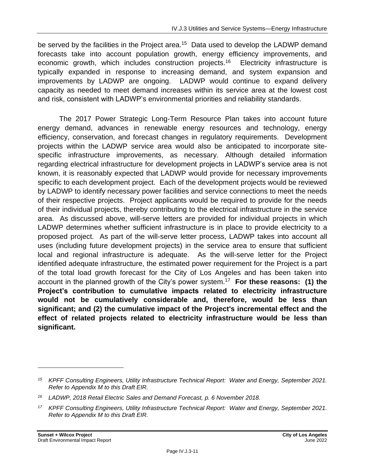be served by the facilities in the Project area.<sup>15</sup> Data used to develop the LADWP demand forecasts take into account population growth, energy efficiency improvements, and economic growth, which includes construction projects.<sup>16</sup> Electricity infrastructure is typically expanded in response to increasing demand, and system expansion and improvements by LADWP are ongoing. LADWP would continue to expand delivery capacity as needed to meet demand increases within its service area at the lowest cost and risk, consistent with LADWP's environmental priorities and reliability standards.

The 2017 Power Strategic Long-Term Resource Plan takes into account future energy demand, advances in renewable energy resources and technology, energy efficiency, conservation, and forecast changes in regulatory requirements. Development projects within the LADWP service area would also be anticipated to incorporate sitespecific infrastructure improvements, as necessary. Although detailed information regarding electrical infrastructure for development projects in LADWP's service area is not known, it is reasonably expected that LADWP would provide for necessary improvements specific to each development project. Each of the development projects would be reviewed by LADWP to identify necessary power facilities and service connections to meet the needs of their respective projects. Project applicants would be required to provide for the needs of their individual projects, thereby contributing to the electrical infrastructure in the service area. As discussed above, will-serve letters are provided for individual projects in which LADWP determines whether sufficient infrastructure is in place to provide electricity to a proposed project. As part of the will-serve letter process, LADWP takes into account all uses (including future development projects) in the service area to ensure that sufficient local and regional infrastructure is adequate. As the will-serve letter for the Project identified adequate infrastructure, the estimated power requirement for the Project is a part of the total load growth forecast for the City of Los Angeles and has been taken into account in the planned growth of the City's power system. 17 **For these reasons: (1) the Project's contribution to cumulative impacts related to electricity infrastructure would not be cumulatively considerable and, therefore, would be less than significant; and (2) the cumulative impact of the Project's incremental effect and the effect of related projects related to electricity infrastructure would be less than significant.**

*<sup>15</sup> KPFF Consulting Engineers, Utility Infrastructure Technical Report: Water and Energy, September 2021. Refer to Appendix M to this Draft EIR.*

*<sup>16</sup> LADWP, 2018 Retail Electric Sales and Demand Forecast, p. 6 November 2018.*

*<sup>17</sup> KPFF Consulting Engineers, Utility Infrastructure Technical Report: Water and Energy, September 2021. Refer to Appendix M to this Draft EIR.*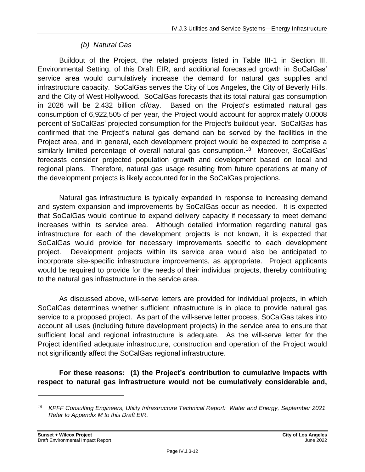### *(b) Natural Gas*

Buildout of the Project, the related projects listed in Table III-1 in Section III, Environmental Setting, of this Draft EIR, and additional forecasted growth in SoCalGas' service area would cumulatively increase the demand for natural gas supplies and infrastructure capacity. SoCalGas serves the City of Los Angeles, the City of Beverly Hills, and the City of West Hollywood. SoCalGas forecasts that its total natural gas consumption in 2026 will be 2.432 billion cf/day. Based on the Project's estimated natural gas consumption of 6,922,505 cf per year, the Project would account for approximately 0.0008 percent of SoCalGas' projected consumption for the Project's buildout year. SoCalGas has confirmed that the Project's natural gas demand can be served by the facilities in the Project area, and in general, each development project would be expected to comprise a similarly limited percentage of overall natural gas consumption.<sup>18</sup> Moreover, SoCalGas' forecasts consider projected population growth and development based on local and regional plans. Therefore, natural gas usage resulting from future operations at many of the development projects is likely accounted for in the SoCalGas projections.

Natural gas infrastructure is typically expanded in response to increasing demand and system expansion and improvements by SoCalGas occur as needed. It is expected that SoCalGas would continue to expand delivery capacity if necessary to meet demand increases within its service area. Although detailed information regarding natural gas infrastructure for each of the development projects is not known, it is expected that SoCalGas would provide for necessary improvements specific to each development project. Development projects within its service area would also be anticipated to incorporate site-specific infrastructure improvements, as appropriate. Project applicants would be required to provide for the needs of their individual projects, thereby contributing to the natural gas infrastructure in the service area.

As discussed above, will-serve letters are provided for individual projects, in which SoCalGas determines whether sufficient infrastructure is in place to provide natural gas service to a proposed project. As part of the will-serve letter process, SoCalGas takes into account all uses (including future development projects) in the service area to ensure that sufficient local and regional infrastructure is adequate. As the will-serve letter for the Project identified adequate infrastructure, construction and operation of the Project would not significantly affect the SoCalGas regional infrastructure.

**For these reasons: (1) the Project's contribution to cumulative impacts with respect to natural gas infrastructure would not be cumulatively considerable and,**

*<sup>18</sup> KPFF Consulting Engineers, Utility Infrastructure Technical Report: Water and Energy, September 2021. Refer to Appendix M to this Draft EIR.*